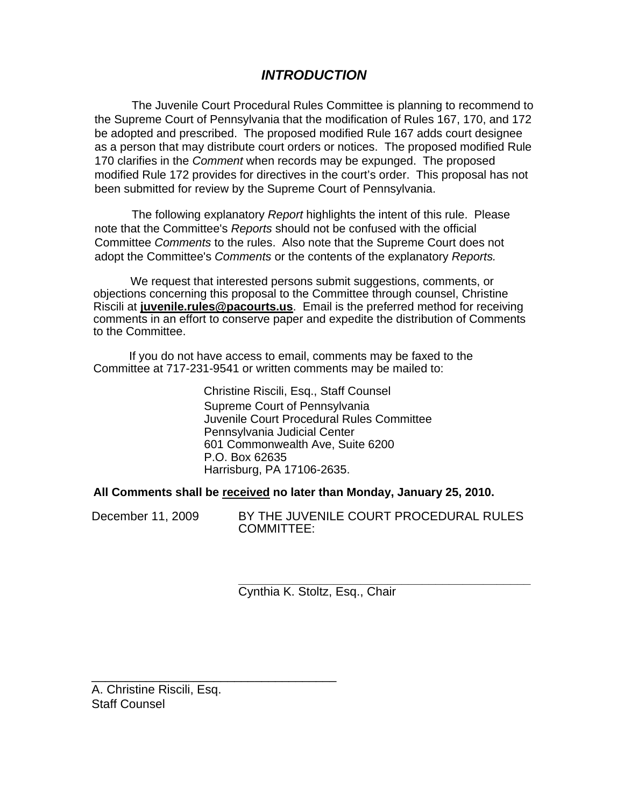# *INTRODUCTION*

The Juvenile Court Procedural Rules Committee is planning to recommend to the Supreme Court of Pennsylvania that the modification of Rules 167, 170, and 172 be adopted and prescribed. The proposed modified Rule 167 adds court designee as a person that may distribute court orders or notices. The proposed modified Rule 170 clarifies in the *Comment* when records may be expunged. The proposed modified Rule 172 provides for directives in the court's order. This proposal has not been submitted for review by the Supreme Court of Pennsylvania.

The following explanatory *Report* highlights the intent of this rule. Please note that the Committee's *Reports* should not be confused with the official Committee *Comments* to the rules. Also note that the Supreme Court does not adopt the Committee's *Comments* or the contents of the explanatory *Reports.* 

We request that interested persons submit suggestions, comments, or objections concerning this proposal to the Committee through counsel, Christine Riscili at **juvenile.rules@pacourts.us**. Email is the preferred method for receiving comments in an effort to conserve paper and expedite the distribution of Comments to the Committee.

 If you do not have access to email, comments may be faxed to the Committee at 717-231-9541 or written comments may be mailed to:

> Christine Riscili, Esq., Staff Counsel Supreme Court of Pennsylvania Juvenile Court Procedural Rules Committee Pennsylvania Judicial Center 601 Commonwealth Ave, Suite 6200 P.O. Box 62635 Harrisburg, PA 17106-2635.

**All Comments shall be received no later than Monday, January 25, 2010.** 

December 11, 2009 BY THE JUVENILE COURT PROCEDURAL RULES COMMITTEE:

> **\_\_\_\_\_\_\_\_\_\_\_\_\_\_\_\_\_\_\_\_\_\_\_\_\_\_\_\_\_\_\_\_\_\_\_\_\_\_\_\_\_\_\_**  Cynthia K. Stoltz, Esq., Chair

A. Christine Riscili, Esq. Staff Counsel

\_\_\_\_\_\_\_\_\_\_\_\_\_\_\_\_\_\_\_\_\_\_\_\_\_\_\_\_\_\_\_\_\_\_\_\_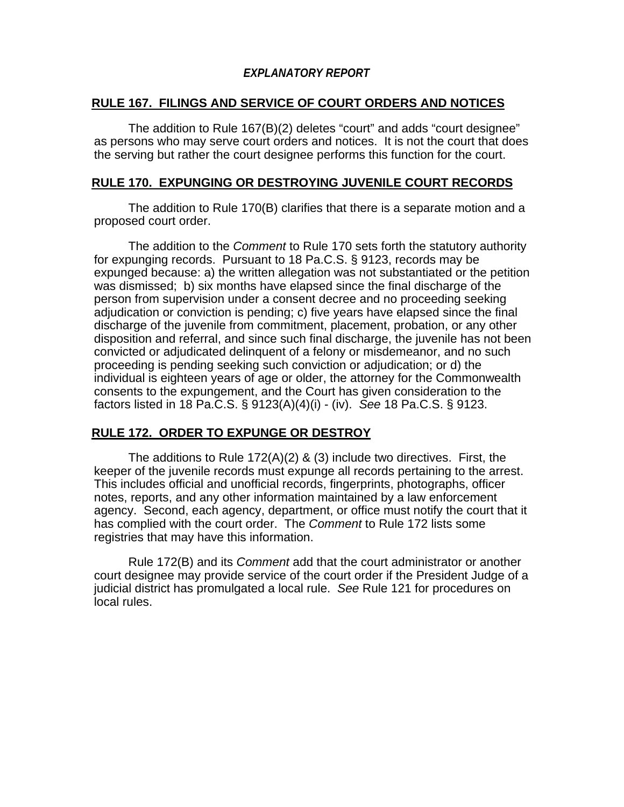# *EXPLANATORY REPORT*

### **RULE 167. FILINGS AND SERVICE OF COURT ORDERS AND NOTICES**

The addition to Rule 167(B)(2) deletes "court" and adds "court designee" as persons who may serve court orders and notices. It is not the court that does the serving but rather the court designee performs this function for the court.

### **RULE 170. EXPUNGING OR DESTROYING JUVENILE COURT RECORDS**

The addition to Rule 170(B) clarifies that there is a separate motion and a proposed court order.

The addition to the *Comment* to Rule 170 sets forth the statutory authority for expunging records. Pursuant to 18 Pa.C.S. § 9123, records may be expunged because: a) the written allegation was not substantiated or the petition was dismissed; b) six months have elapsed since the final discharge of the person from supervision under a consent decree and no proceeding seeking adjudication or conviction is pending; c) five years have elapsed since the final discharge of the juvenile from commitment, placement, probation, or any other disposition and referral, and since such final discharge, the juvenile has not been convicted or adjudicated delinquent of a felony or misdemeanor, and no such proceeding is pending seeking such conviction or adjudication; or d) the individual is eighteen years of age or older, the attorney for the Commonwealth consents to the expungement, and the Court has given consideration to the factors listed in 18 Pa.C.S. § 9123(A)(4)(i) - (iv). *See* 18 Pa.C.S. § 9123.

# **RULE 172. ORDER TO EXPUNGE OR DESTROY**

The additions to Rule 172(A)(2) & (3) include two directives. First, the keeper of the juvenile records must expunge all records pertaining to the arrest. This includes official and unofficial records, fingerprints, photographs, officer notes, reports, and any other information maintained by a law enforcement agency. Second, each agency, department, or office must notify the court that it has complied with the court order. The *Comment* to Rule 172 lists some registries that may have this information.

Rule 172(B) and its *Comment* add that the court administrator or another court designee may provide service of the court order if the President Judge of a judicial district has promulgated a local rule. *See* Rule 121 for procedures on local rules.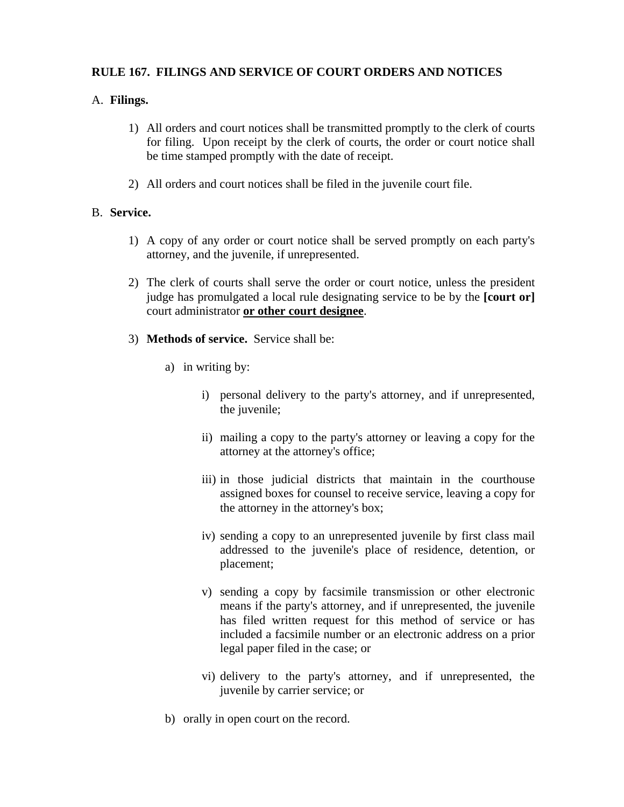## **RULE 167. FILINGS AND SERVICE OF COURT ORDERS AND NOTICES**

### A. **Filings.**

- 1) All orders and court notices shall be transmitted promptly to the clerk of courts for filing. Upon receipt by the clerk of courts, the order or court notice shall be time stamped promptly with the date of receipt.
- 2) All orders and court notices shall be filed in the juvenile court file.

### B. **Service.**

- 1) A copy of any order or court notice shall be served promptly on each party's attorney, and the juvenile, if unrepresented.
- 2) The clerk of courts shall serve the order or court notice, unless the president judge has promulgated a local rule designating service to be by the **[court or]**  court administrator **or other court designee**.
- 3) **Methods of service.** Service shall be:
	- a) in writing by:
		- i) personal delivery to the party's attorney, and if unrepresented, the juvenile;
		- ii) mailing a copy to the party's attorney or leaving a copy for the attorney at the attorney's office;
		- iii) in those judicial districts that maintain in the courthouse assigned boxes for counsel to receive service, leaving a copy for the attorney in the attorney's box;
		- iv) sending a copy to an unrepresented juvenile by first class mail addressed to the juvenile's place of residence, detention, or placement;
		- v) sending a copy by facsimile transmission or other electronic means if the party's attorney, and if unrepresented, the juvenile has filed written request for this method of service or has included a facsimile number or an electronic address on a prior legal paper filed in the case; or
		- vi) delivery to the party's attorney, and if unrepresented, the juvenile by carrier service; or
	- b) orally in open court on the record.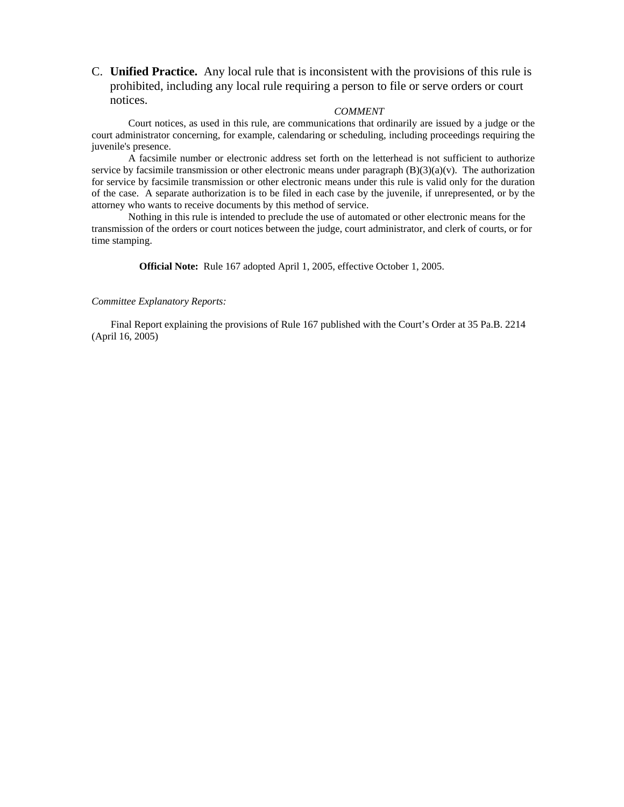C. **Unified Practice.** Any local rule that is inconsistent with the provisions of this rule is prohibited, including any local rule requiring a person to file or serve orders or court notices.

### *COMMENT*

Court notices, as used in this rule, are communications that ordinarily are issued by a judge or the court administrator concerning, for example, calendaring or scheduling, including proceedings requiring the juvenile's presence.

A facsimile number or electronic address set forth on the letterhead is not sufficient to authorize service by facsimile transmission or other electronic means under paragraph  $(B)(3)(a)(v)$ . The authorization for service by facsimile transmission or other electronic means under this rule is valid only for the duration of the case. A separate authorization is to be filed in each case by the juvenile, if unrepresented, or by the attorney who wants to receive documents by this method of service.

Nothing in this rule is intended to preclude the use of automated or other electronic means for the transmission of the orders or court notices between the judge, court administrator, and clerk of courts, or for time stamping.

**Official Note:** Rule 167 adopted April 1, 2005, effective October 1, 2005.

#### *Committee Explanatory Reports:*

Final Report explaining the provisions of Rule 167 published with the Court's Order at 35 Pa.B. 2214 (April 16, 2005)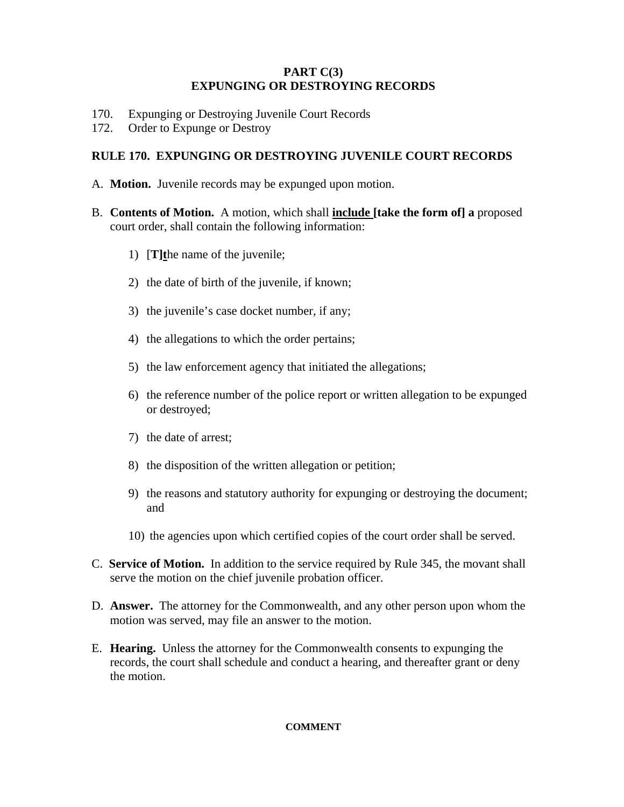### **PART C(3) EXPUNGING OR DESTROYING RECORDS**

- 170. Expunging or Destroying Juvenile Court Records
- 172. Order to Expunge or Destroy

### **RULE 170. EXPUNGING OR DESTROYING JUVENILE COURT RECORDS**

- A. **Motion.** Juvenile records may be expunged upon motion.
- B. **Contents of Motion.** A motion, which shall **include [take the form of] a** proposed court order, shall contain the following information:
	- 1) [**T]t**he name of the juvenile;
	- 2) the date of birth of the juvenile, if known;
	- 3) the juvenile's case docket number, if any;
	- 4) the allegations to which the order pertains;
	- 5) the law enforcement agency that initiated the allegations;
	- 6) the reference number of the police report or written allegation to be expunged or destroyed;
	- 7) the date of arrest;
	- 8) the disposition of the written allegation or petition;
	- 9) the reasons and statutory authority for expunging or destroying the document; and
	- 10) the agencies upon which certified copies of the court order shall be served.
- C. **Service of Motion.** In addition to the service required by Rule 345, the movant shall serve the motion on the chief juvenile probation officer.
- D. **Answer.** The attorney for the Commonwealth, and any other person upon whom the motion was served, may file an answer to the motion.
- E. **Hearing.** Unless the attorney for the Commonwealth consents to expunging the records, the court shall schedule and conduct a hearing, and thereafter grant or deny the motion.

### **COMMENT**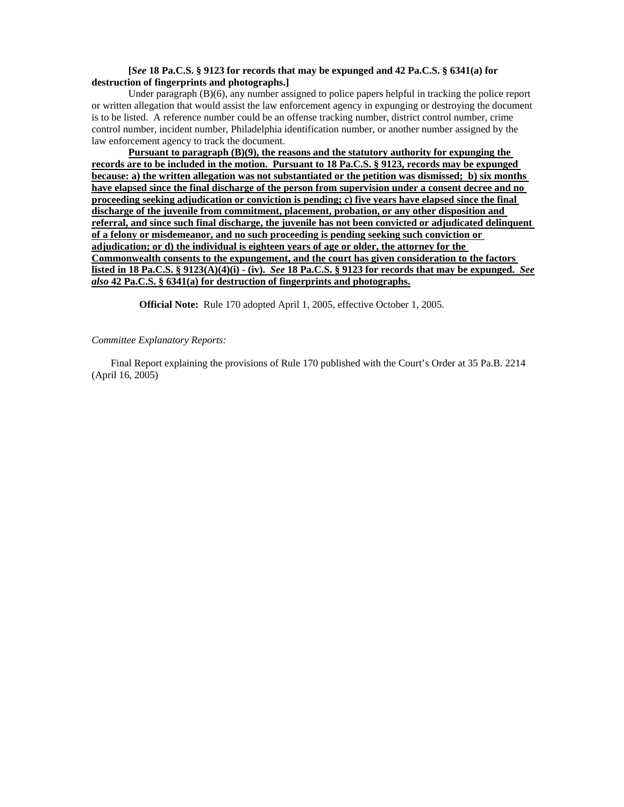#### **[***See* **18 Pa.C.S. § 9123 for records that may be expunged and 42 Pa.C.S. § 6341(a) for destruction of fingerprints and photographs.]**

Under paragraph (B)(6), any number assigned to police papers helpful in tracking the police report or written allegation that would assist the law enforcement agency in expunging or destroying the document is to be listed. A reference number could be an offense tracking number, district control number, crime control number, incident number, Philadelphia identification number, or another number assigned by the law enforcement agency to track the document.

**Pursuant to paragraph (B)(9), the reasons and the statutory authority for expunging the records are to be included in the motion. Pursuant to 18 Pa.C.S. § 9123, records may be expunged because: a) the written allegation was not substantiated or the petition was dismissed; b) six months have elapsed since the final discharge of the person from supervision under a consent decree and no proceeding seeking adjudication or conviction is pending; c) five years have elapsed since the final discharge of the juvenile from commitment, placement, probation, or any other disposition and referral, and since such final discharge, the juvenile has not been convicted or adjudicated delinquent of a felony or misdemeanor, and no such proceeding is pending seeking such conviction or adjudication; or d) the individual is eighteen years of age or older, the attorney for the Commonwealth consents to the expungement, and the court has given consideration to the factors listed in 18 Pa.C.S. § 9123(A)(4)(i) - (iv).** *See* **18 Pa.C.S. § 9123 for records that may be expunged.** *See also* **42 Pa.C.S. § 6341(a) for destruction of fingerprints and photographs.**

**Official Note:** Rule 170 adopted April 1, 2005, effective October 1, 2005.

#### *Committee Explanatory Reports:*

Final Report explaining the provisions of Rule 170 published with the Court's Order at 35 Pa.B. 2214 (April 16, 2005)